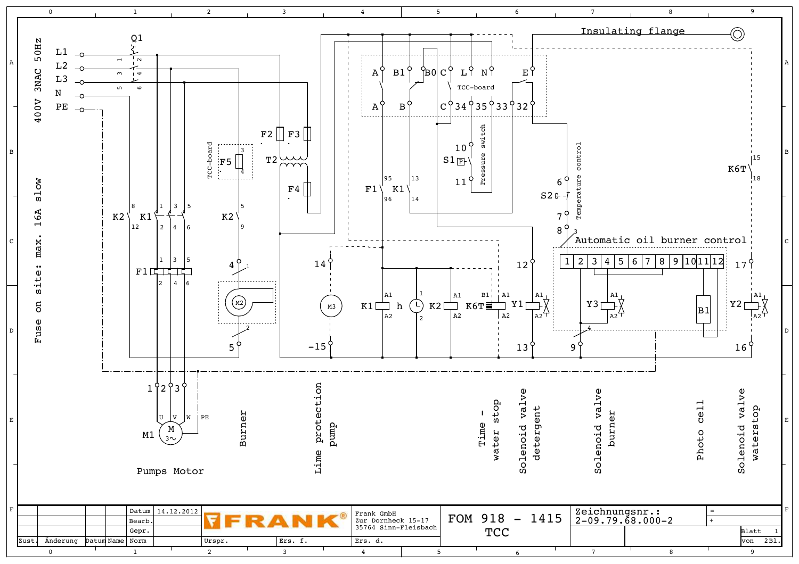